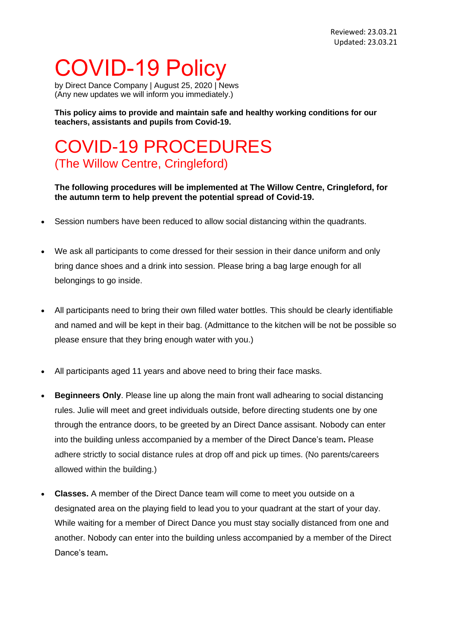## COVID-19 Policy

by Direct Dance Company | August 25, 2020 | [News](https://avivdance.com/category/news/) (Any new updates we will inform you immediately.)

**This policy aims to provide and maintain safe and healthy working conditions for our teachers, assistants and pupils from Covid-19.**

## COVID-19 PROCEDURES (The Willow Centre, Cringleford)

## **The following procedures will be implemented at The Willow Centre, Cringleford, for the autumn term to help prevent the potential spread of Covid-19.**

- Session numbers have been reduced to allow social distancing within the quadrants.
- We ask all participants to come dressed for their session in their dance uniform and only bring dance shoes and a drink into session. Please bring a bag large enough for all belongings to go inside.
- All participants need to bring their own filled water bottles. This should be clearly identifiable and named and will be kept in their bag. (Admittance to the kitchen will be not be possible so please ensure that they bring enough water with you.)
- All participants aged 11 years and above need to bring their face masks.
- **Beginneers Only**. Please line up along the main front wall adhearing to social distancing rules. Julie will meet and greet individuals outside, before directing students one by one through the entrance doors, to be greeted by an Direct Dance assisant. Nobody can enter into the building unless accompanied by a member of the Direct Dance's team**.** Please adhere strictly to social distance rules at drop off and pick up times. (No parents/careers allowed within the building.)
- **Classes.** A member of the Direct Dance team will come to meet you outside on a designated area on the playing field to lead you to your quadrant at the start of your day. While waiting for a member of Direct Dance you must stay socially distanced from one and another. Nobody can enter into the building unless accompanied by a member of the Direct Dance's team**.**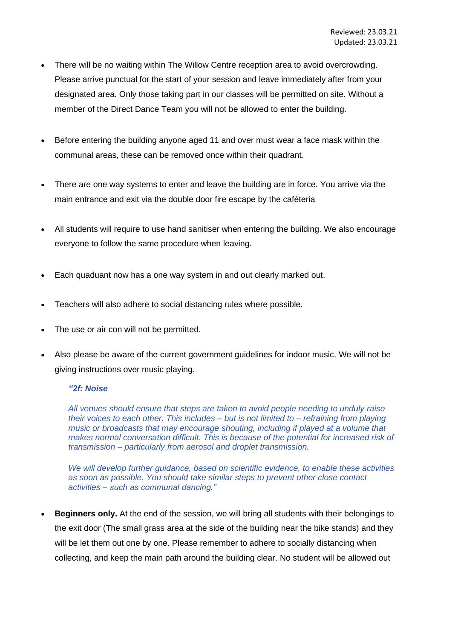- There will be no waiting within The Willow Centre reception area to avoid overcrowding. Please arrive punctual for the start of your session and leave immediately after from your designated area. Only those taking part in our classes will be permitted on site. Without a member of the Direct Dance Team you will not be allowed to enter the building.
- Before entering the building anyone aged 11 and over must wear a face mask within the communal areas, these can be removed once within their quadrant.
- There are one way systems to enter and leave the building are in force. You arrive via the main entrance and exit via the double door fire escape by the caféteria
- All students will require to use hand sanitiser when entering the building. We also encourage everyone to follow the same procedure when leaving.
- Each quaduant now has a one way system in and out clearly marked out.
- Teachers will also adhere to social distancing rules where possible.
- The use or air con will not be permitted.
- Also please be aware of the current government guidelines for indoor music. We will not be giving instructions over music playing.

## *"2f: Noise*

*All venues should ensure that steps are taken to avoid people needing to unduly raise their voices to each other. This includes – but is not limited to – refraining from playing music or broadcasts that may encourage shouting, including if played at a volume that makes normal conversation difficult. This is because of the potential for increased risk of transmission – particularly from aerosol and droplet transmission.*

*We will develop further guidance, based on scientific evidence, to enable these activities as soon as possible. You should take similar steps to prevent other close contact activities – such as communal dancing."*

• **Beginners only.** At the end of the session, we will bring all students with their belongings to the exit door (The small grass area at the side of the building near the bike stands) and they will be let them out one by one. Please remember to adhere to socially distancing when collecting, and keep the main path around the building clear. No student will be allowed out